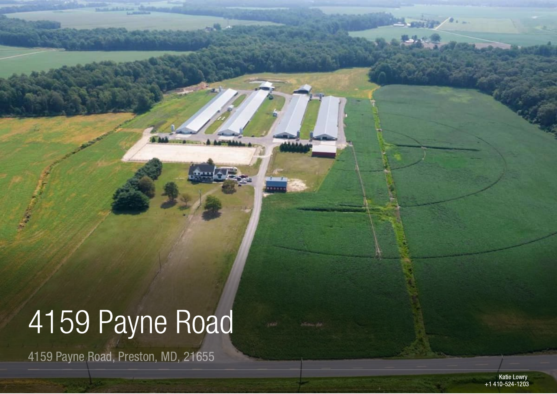# 4159 Pavne Road

4159 Payne Road, Preston, MD, 21655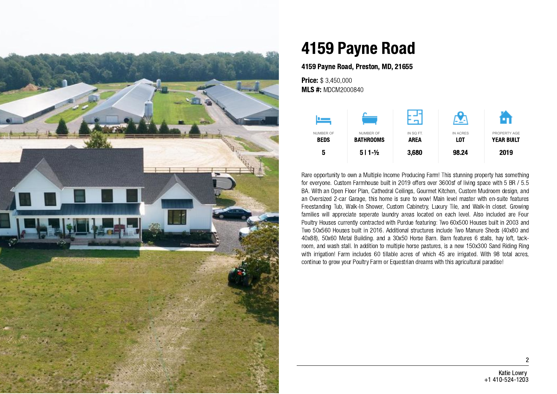

## 4159 Payne Road

4159 Payne Road, Preston, MD, 21655

**Price: \$ 3,450,000 MLS #: MDCM2000840** 



Rare opportunity to own a Multiple Income Producing Farm! This stunning property has something for everyone. Custom Farmhouse built in 2019 offers over 3600sf of living space with 5 BR / 5.5 BA. With an Open Floor Plan, Cathedral Ceilings, Gourmet Kitchen, Custom Mudroom design, and an Oversized 2-car Garage, this home is sure to wow! Main level master with en-suite features Freestanding Tub, Walk-In Shower, Custom Cabinetry, Luxury Tile, and Walk-In closet. Growing families will appreciate seperate laundry areas located on each level. Also included are Four Poultry Houses currently contracted with Purdue featuring: Two 60x500 Houses built in 2003 and Two 50x560 Houses built in 2016. Additional structures include Two Manure Sheds (40x80 and 40x88), 50x60 Metal Building. and a 30x50 Horse Barn. Barn features 6 stalls, hay loft, tackroom, and wash stall. In addition to multiple horse pastures, is a new 150x300 Sand Riding Ring with irrigation! Farm includes 60 tillable acres of which 45 are irrigated. With 98 total acres, continue to grow your Poultry Farm or Equestrian dreams with this agricultural paradise!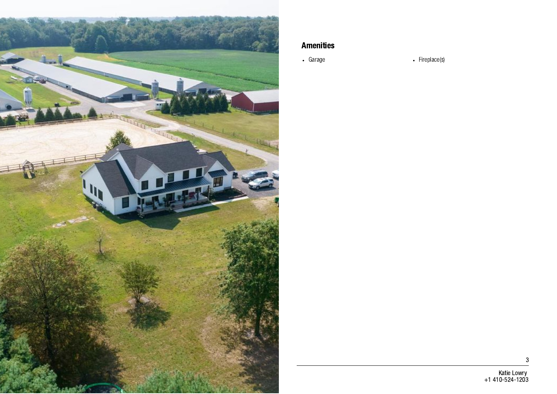

#### Amenities

• Garage **Fireplace(s)** 

3